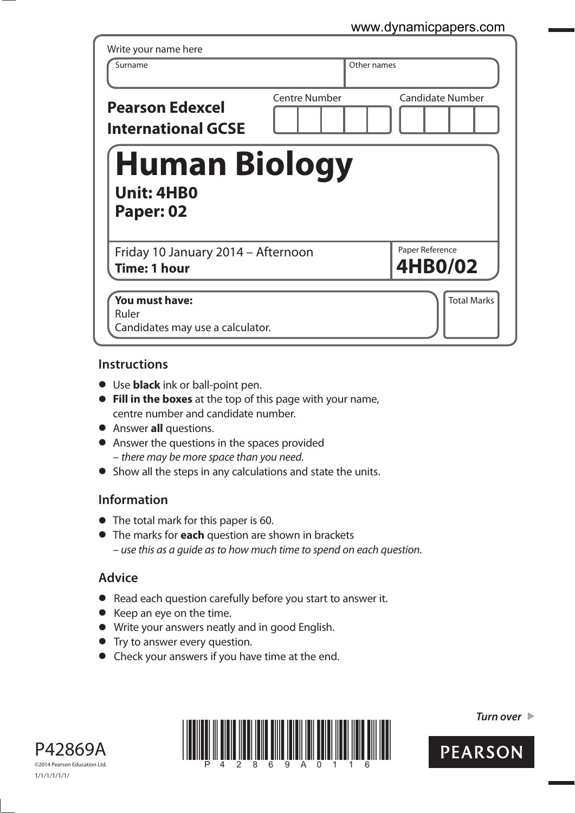## www.dynamicpapers.com

| Surname                                                | Other names          |                                   |
|--------------------------------------------------------|----------------------|-----------------------------------|
| <b>Pearson Edexcel</b><br><b>International GCSE</b>    | <b>Centre Number</b> | <b>Candidate Number</b>           |
| <b>Human Biology</b><br><b>Unit: 4HB0</b><br>Paper: 02 |                      |                                   |
|                                                        |                      |                                   |
| Friday 10 January 2014 - Afternoon<br>Time: 1 hour     |                      | Paper Reference<br><b>4HB0/02</b> |

## **Instructions**

- **t** Use **black** ink or ball-point pen.
- **Fill in the boxes** at the top of this page with your name, centre number and candidate number.
- **•** Answer **all** questions.
- **•** Answer the questions in the spaces provided – there may be more space than you need.
- **•** Show all the steps in any calculations and state the units.

## **Information**

- **•** The total mark for this paper is 60.
- **t** The marks for **each** question are shown in brackets – use this as a guide as to how much time to spend on each question.

## **Advice**

- **t** Read each question carefully before you start to answer it.
- **t** Keep an eye on the time.
- **t** Write your answers neatly and in good English.
- **•** Try to answer every question.
- **•** Check your answers if you have time at the end.





*Turn over* 

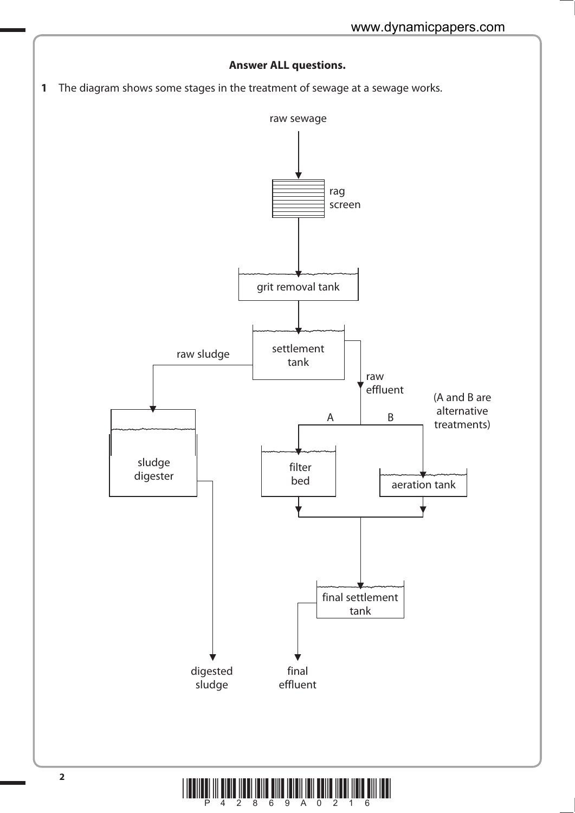

 $\frac{1}{2}$   $\frac{1}{2}$   $\frac{1}{4}$   $\frac{1}{2}$   $\frac{1}{8}$   $\frac{1}{6}$   $\frac{1}{6}$   $\frac{1}{2}$   $\frac{1}{4}$   $\frac{1}{6}$   $\frac{1}{2}$   $\frac{1}{4}$   $\frac{1}{6}$   $\frac{1}{8}$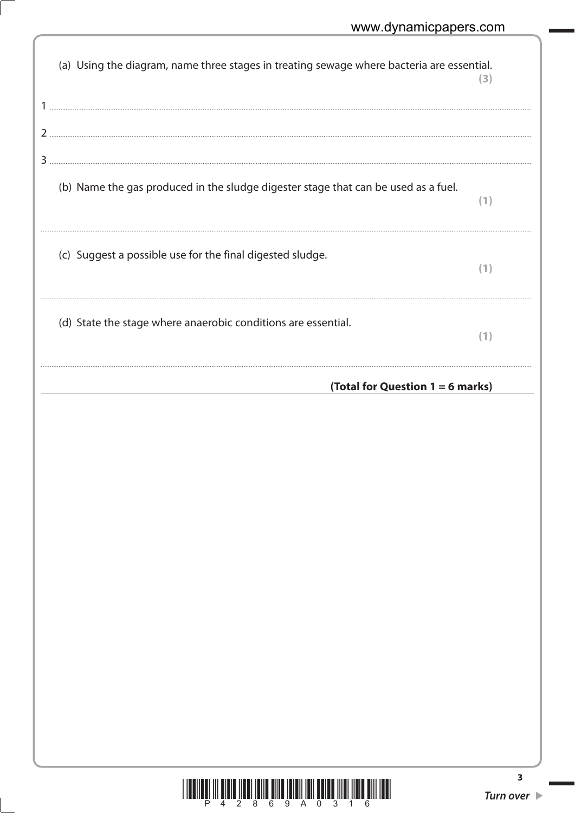| (a) Using the diagram, name three stages in treating sewage where bacteria are essential. | (3) |
|-------------------------------------------------------------------------------------------|-----|
| 2<br>3                                                                                    |     |
| (b) Name the gas produced in the sludge digester stage that can be used as a fuel.        | (1) |
| (c) Suggest a possible use for the final digested sludge.                                 | (1) |
| (d) State the stage where anaerobic conditions are essential.                             | (1) |
| (Total for Question 1 = 6 marks)                                                          |     |
|                                                                                           |     |
|                                                                                           |     |
|                                                                                           |     |
|                                                                                           |     |
|                                                                                           |     |
|                                                                                           |     |
|                                                                                           |     |
|                                                                                           |     |
|                                                                                           |     |

 $\overline{\mathbf{3}}$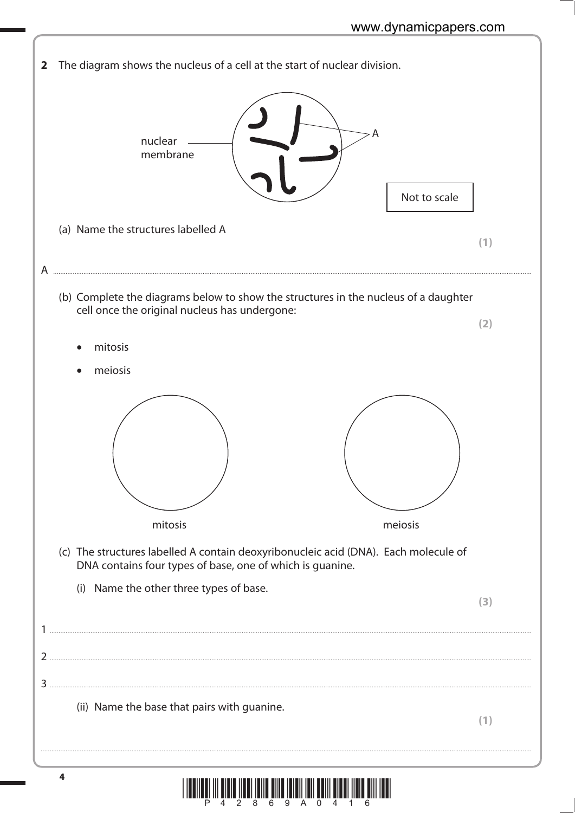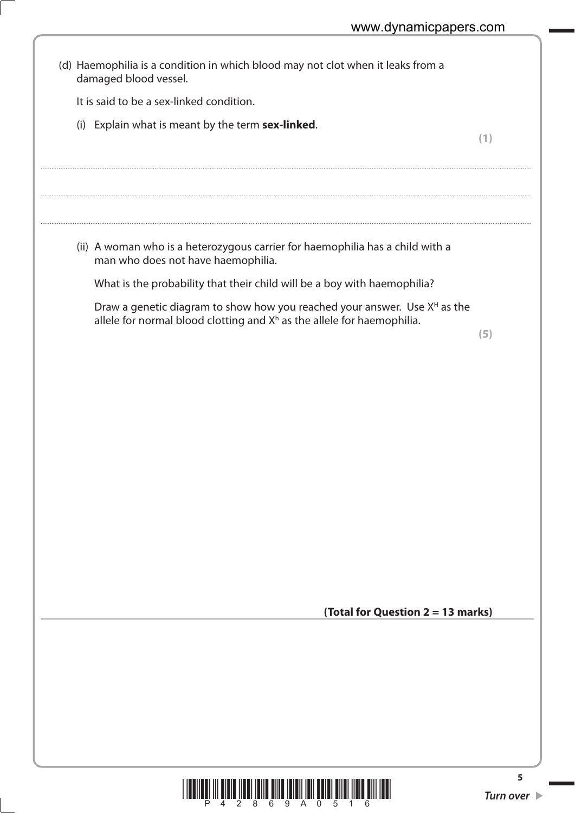| It is said to be a sex-linked condition.                                                                                                                 |     |
|----------------------------------------------------------------------------------------------------------------------------------------------------------|-----|
| (i) Explain what is meant by the term sex-linked.                                                                                                        | (1) |
|                                                                                                                                                          |     |
| (ii) A woman who is a heterozygous carrier for haemophilia has a child with a<br>man who does not have haemophilia.                                      |     |
| What is the probability that their child will be a boy with haemophilia?                                                                                 |     |
| Draw a genetic diagram to show how you reached your answer. Use $X^H$ as the<br>allele for normal blood clotting and $Xh$ as the allele for haemophilia. |     |
|                                                                                                                                                          | (5) |
|                                                                                                                                                          |     |
|                                                                                                                                                          |     |
|                                                                                                                                                          |     |
|                                                                                                                                                          |     |
|                                                                                                                                                          |     |
|                                                                                                                                                          |     |
|                                                                                                                                                          |     |
|                                                                                                                                                          |     |
|                                                                                                                                                          |     |
|                                                                                                                                                          |     |
|                                                                                                                                                          |     |
| (Total for Question 2 = 13 marks)                                                                                                                        |     |
|                                                                                                                                                          |     |
|                                                                                                                                                          |     |
|                                                                                                                                                          |     |
|                                                                                                                                                          |     |
|                                                                                                                                                          |     |
|                                                                                                                                                          |     |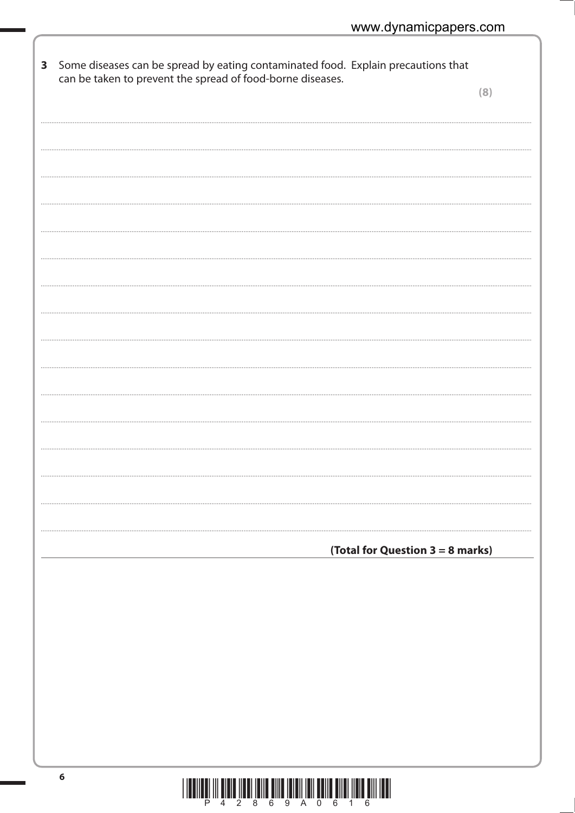| 3 Some diseases can be spread by eating contaminated food. Explain precautions that<br>can be taken to prevent the spread of food-borne diseases. |     |
|---------------------------------------------------------------------------------------------------------------------------------------------------|-----|
|                                                                                                                                                   | (8) |
|                                                                                                                                                   |     |
|                                                                                                                                                   |     |
|                                                                                                                                                   |     |
|                                                                                                                                                   |     |
|                                                                                                                                                   |     |
|                                                                                                                                                   |     |
|                                                                                                                                                   |     |
|                                                                                                                                                   |     |
|                                                                                                                                                   |     |
|                                                                                                                                                   |     |
|                                                                                                                                                   |     |
|                                                                                                                                                   |     |
|                                                                                                                                                   |     |
|                                                                                                                                                   |     |
|                                                                                                                                                   |     |
|                                                                                                                                                   |     |
|                                                                                                                                                   |     |
| (Total for Question 3 = 8 marks)                                                                                                                  |     |
|                                                                                                                                                   |     |
|                                                                                                                                                   |     |
|                                                                                                                                                   |     |
|                                                                                                                                                   |     |
|                                                                                                                                                   |     |
|                                                                                                                                                   |     |
|                                                                                                                                                   |     |
|                                                                                                                                                   |     |
| 6<br><u> 1 10011001 111 81010 11001 10110 81110 101011 1011 80110 81101 11010 8111 1001</u>                                                       |     |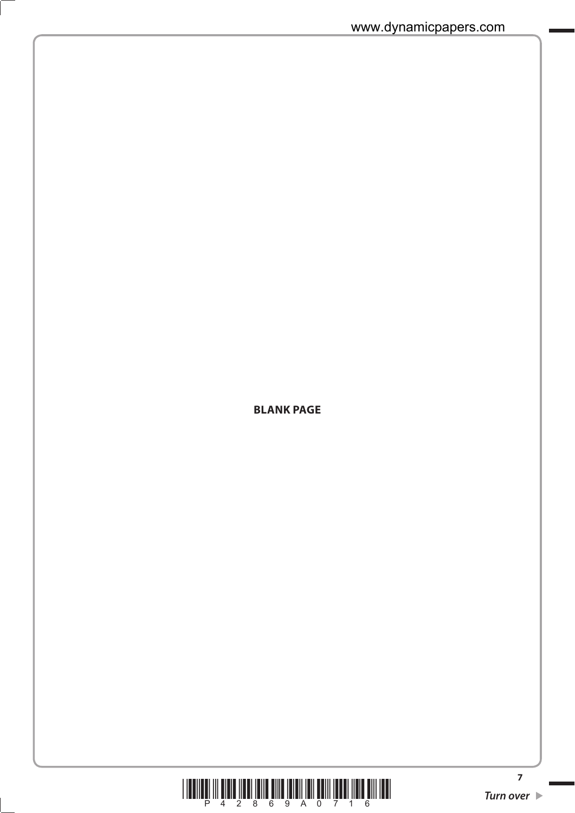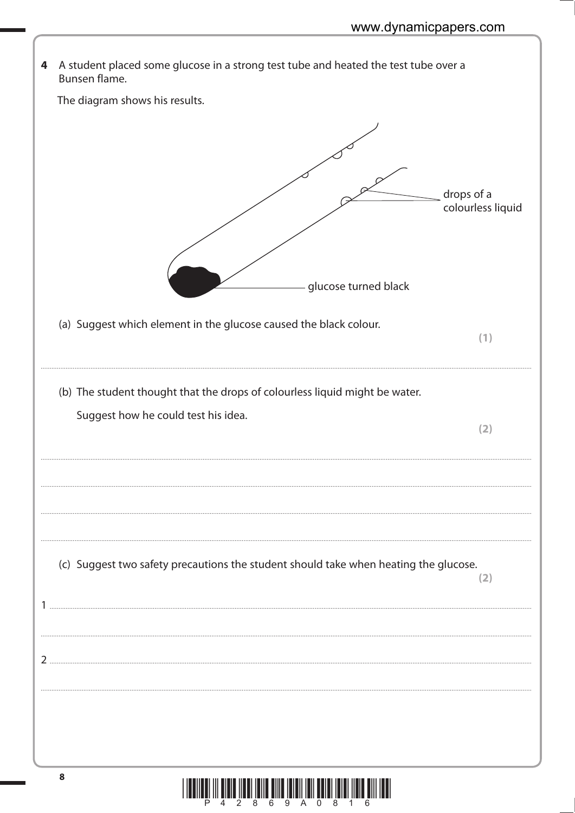| 4 | A student placed some glucose in a strong test tube and heated the test tube over a<br>Bunsen flame. |                   |
|---|------------------------------------------------------------------------------------------------------|-------------------|
|   | The diagram shows his results.                                                                       |                   |
|   | drops of a<br>glucose turned black                                                                   | colourless liquid |
|   | (a) Suggest which element in the glucose caused the black colour.                                    | (1)               |
|   | (b) The student thought that the drops of colourless liquid might be water.                          |                   |
|   | Suggest how he could test his idea.                                                                  | (2)               |
| 2 | (c) Suggest two safety precautions the student should take when heating the glucose.                 | (2)               |
|   | 8                                                                                                    |                   |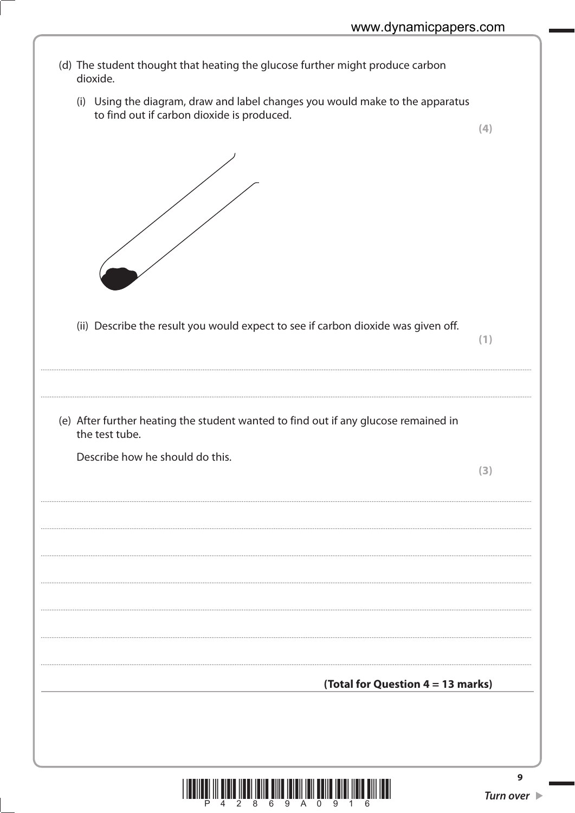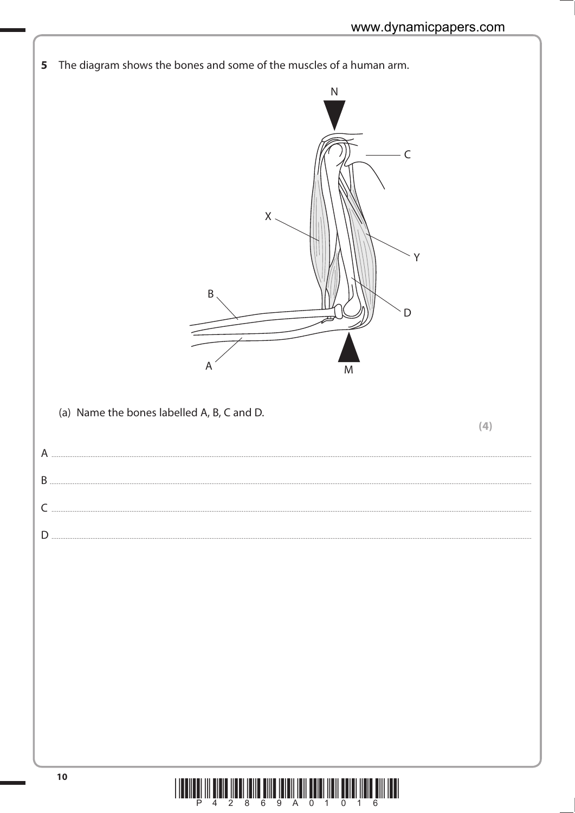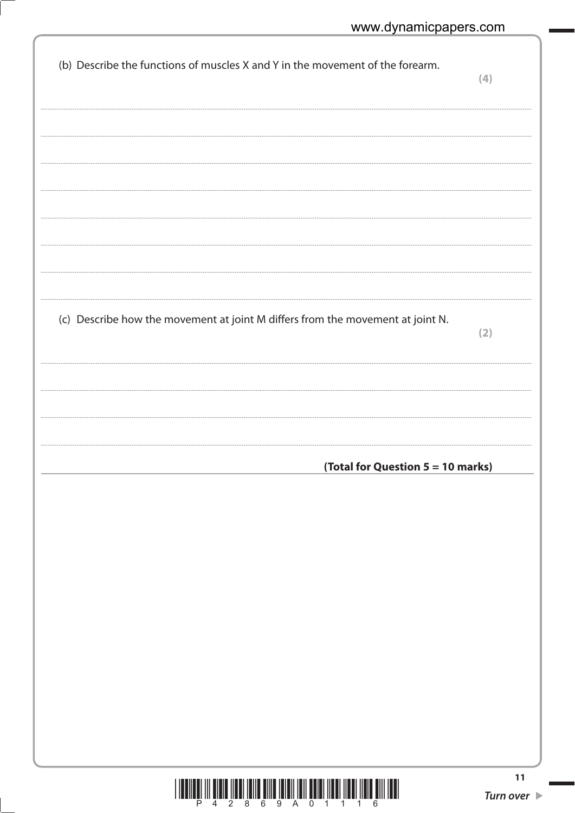| (b) Describe the functions of muscles X and Y in the movement of the forearm.  |                                   | (4) |
|--------------------------------------------------------------------------------|-----------------------------------|-----|
|                                                                                |                                   |     |
|                                                                                |                                   |     |
|                                                                                |                                   |     |
|                                                                                |                                   |     |
|                                                                                |                                   |     |
|                                                                                |                                   |     |
|                                                                                |                                   |     |
| (c) Describe how the movement at joint M differs from the movement at joint N. |                                   | (2) |
|                                                                                |                                   |     |
|                                                                                |                                   |     |
|                                                                                |                                   |     |
|                                                                                |                                   |     |
|                                                                                | (Total for Question 5 = 10 marks) |     |
|                                                                                |                                   |     |
|                                                                                |                                   |     |
|                                                                                |                                   |     |
|                                                                                |                                   |     |
|                                                                                |                                   |     |
|                                                                                |                                   |     |
|                                                                                |                                   |     |
|                                                                                |                                   |     |
|                                                                                |                                   |     |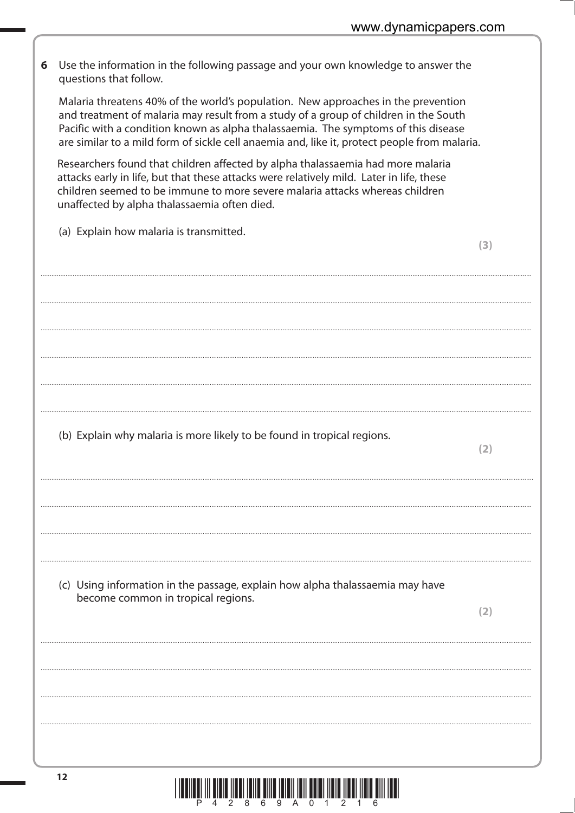| 6 | Use the information in the following passage and your own knowledge to answer the<br>questions that follow.                                                                                                                                                                                                                                                     |     |
|---|-----------------------------------------------------------------------------------------------------------------------------------------------------------------------------------------------------------------------------------------------------------------------------------------------------------------------------------------------------------------|-----|
|   | Malaria threatens 40% of the world's population. New approaches in the prevention<br>and treatment of malaria may result from a study of a group of children in the South<br>Pacific with a condition known as alpha thalassaemia. The symptoms of this disease<br>are similar to a mild form of sickle cell anaemia and, like it, protect people from malaria. |     |
|   | Researchers found that children affected by alpha thalassaemia had more malaria<br>attacks early in life, but that these attacks were relatively mild. Later in life, these<br>children seemed to be immune to more severe malaria attacks whereas children<br>unaffected by alpha thalassaemia often died.                                                     |     |
|   | (a) Explain how malaria is transmitted.                                                                                                                                                                                                                                                                                                                         | (3) |
|   |                                                                                                                                                                                                                                                                                                                                                                 |     |
|   |                                                                                                                                                                                                                                                                                                                                                                 |     |
|   | (b) Explain why malaria is more likely to be found in tropical regions.                                                                                                                                                                                                                                                                                         | (2) |
|   |                                                                                                                                                                                                                                                                                                                                                                 |     |
|   | (c) Using information in the passage, explain how alpha thalassaemia may have<br>become common in tropical regions.                                                                                                                                                                                                                                             | (2) |
|   |                                                                                                                                                                                                                                                                                                                                                                 |     |
|   |                                                                                                                                                                                                                                                                                                                                                                 |     |
|   | 12                                                                                                                                                                                                                                                                                                                                                              |     |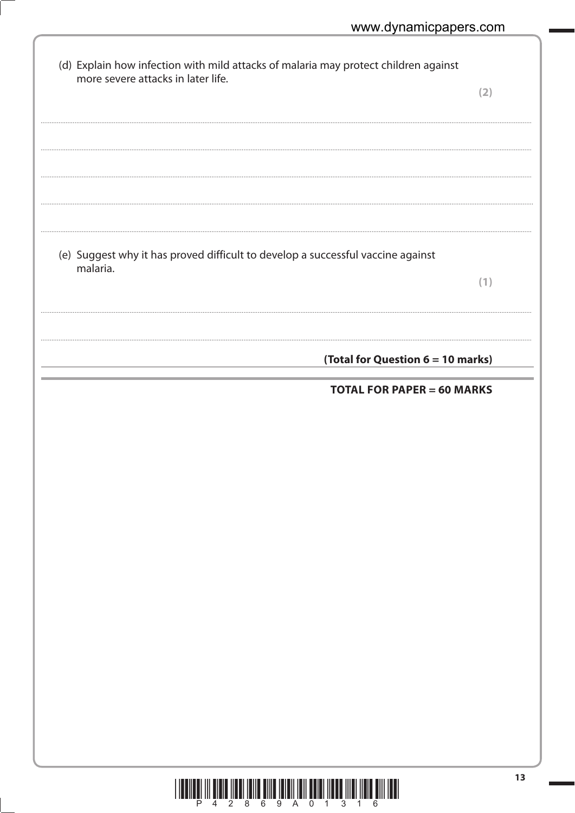| (d) Explain how infection with mild attacks of malaria may protect children against<br>more severe attacks in later life. | (2)                               |
|---------------------------------------------------------------------------------------------------------------------------|-----------------------------------|
| (e) Suggest why it has proved difficult to develop a successful vaccine against<br>malaria.                               | (1)                               |
|                                                                                                                           | (Total for Question 6 = 10 marks) |
|                                                                                                                           | <b>TOTAL FOR PAPER = 60 MARKS</b> |
|                                                                                                                           |                                   |
|                                                                                                                           |                                   |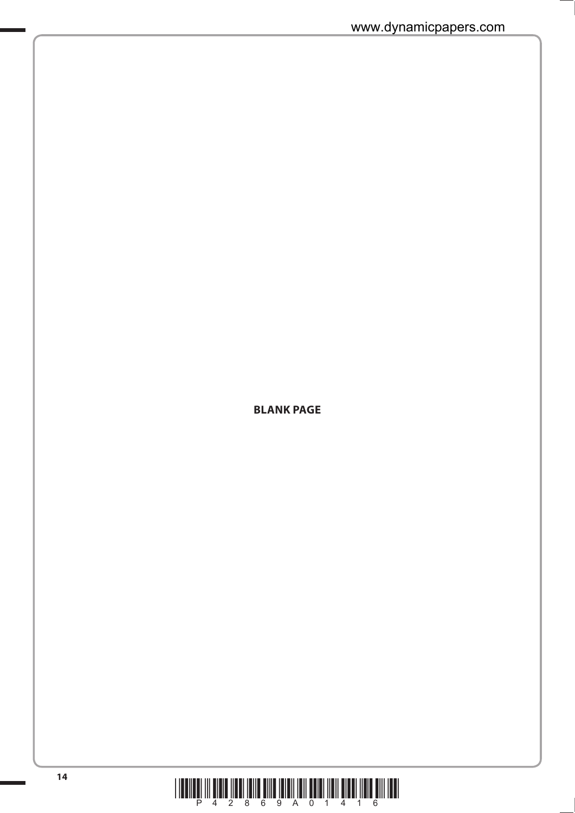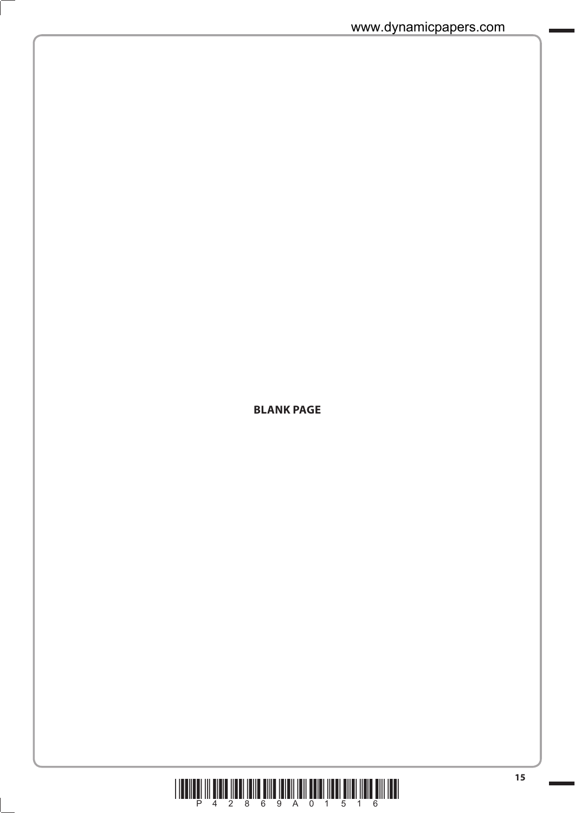